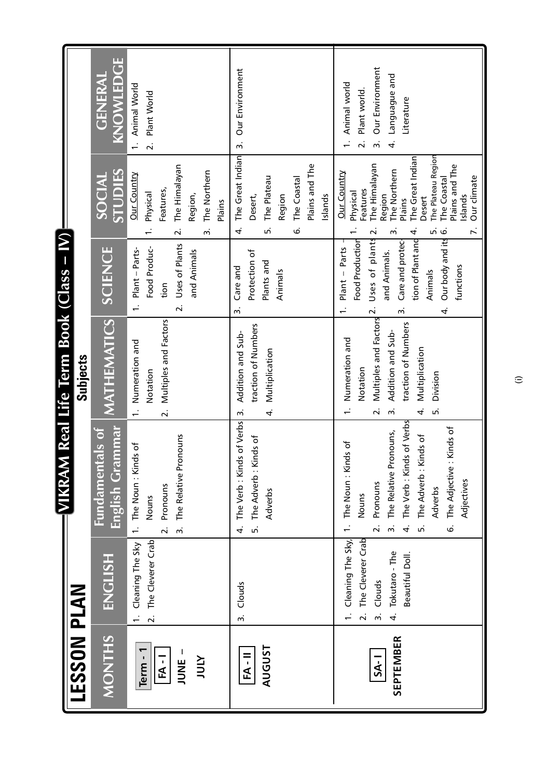|                                              |                                                                                                                                      |                                                                                                                                                                                                                                            | VIKRAM Real Life Term Book (Class - IV)                                                                                                                                                   |                                                                                                                                                                           |                                                                                                                                                                                                                                                            |                                                                                                   |
|----------------------------------------------|--------------------------------------------------------------------------------------------------------------------------------------|--------------------------------------------------------------------------------------------------------------------------------------------------------------------------------------------------------------------------------------------|-------------------------------------------------------------------------------------------------------------------------------------------------------------------------------------------|---------------------------------------------------------------------------------------------------------------------------------------------------------------------------|------------------------------------------------------------------------------------------------------------------------------------------------------------------------------------------------------------------------------------------------------------|---------------------------------------------------------------------------------------------------|
| <b>LESSON PLAN</b>                           |                                                                                                                                      |                                                                                                                                                                                                                                            | Subjects                                                                                                                                                                                  |                                                                                                                                                                           |                                                                                                                                                                                                                                                            |                                                                                                   |
| <b>MONTHS</b>                                | ENGLISH                                                                                                                              | English Grammar<br><b>Fundamentals of</b>                                                                                                                                                                                                  | MATHEMATICS                                                                                                                                                                               | <b>SCIENCE</b>                                                                                                                                                            | STUDIES<br>SOCIAL                                                                                                                                                                                                                                          | KNOWLEDGE<br>GENERAL                                                                              |
| Term - 1<br>JUNE.<br>$FA - I$<br><b>ATOL</b> | The Cleverer Crab<br>1. Cleaning The Sky<br>$\overline{a}$                                                                           | Pronouns<br>1. The Noun: Kinds of<br>The Relative<br>Pronouns<br>Nouns<br>$\overline{a}$<br>$\ddot{ }$                                                                                                                                     | Multiples and Factors<br>Numeration and<br>Notation<br>$\overline{\mathbf{v}}$                                                                                                            | Uses of Plants<br>Food Produc-<br>Plant - Parts-<br>and Animals<br>tion<br>$\overline{\mathbf{r}}$<br>$\overline{\phantom{0}}$                                            | The Himalayan<br>The Northern<br><b>Our Country</b><br>Features,<br>Physical<br>Region,<br>Plains<br>$\ddot{ }$<br>$\overline{\mathbf{v}}$                                                                                                                 | 1. Animal World<br>Plant World<br>$\overline{a}$                                                  |
| <b>AUGUST</b><br>$\overline{RA}$             | Clouds<br>$\ddot{ }$                                                                                                                 | The Verb: Kinds of Verbs<br>: Kinds of<br>The Adverb<br>Adverbs<br>r.<br>4                                                                                                                                                                 | traction of Numbers<br>Addition and Sub-<br>Multiplication<br>4<br>$\dot{m}$                                                                                                              | Protection of<br>Plants and<br>Care and<br>Animals<br>w                                                                                                                   | The Great Indian<br>Plains and The<br>The Plateau<br>The Coastal<br>Region<br>Islands<br>Desert,<br>َی<br>ъ,<br>4.                                                                                                                                         | Our Environment<br>$\ddot{ }$                                                                     |
| SEPTEMBER<br>$S_{A-1}$                       | The Cleverer Crab<br>Cleaning The Sky,<br>Tokutaro - The<br>Beautiful Doll.<br>Clouds<br>$\overline{\mathcal{N}}$<br>$\ddot{ }$<br>4 | The Verb: Kinds of Verbs<br>The Adjective : Kinds of<br>The Relative Pronouns,<br>The Adverb: Kinds of<br>Kinds of<br>1. The Noun:<br>Adjectives<br>Pronouns<br>Adverbs<br>Nouns<br>$\ddot{ }$<br>$\overline{\mathbf{v}}$<br>4<br>ъ,<br>ؘٯ | Multiples and Factors 2.<br>traction of Numbers<br>Addition and Sub-<br>Numeration and<br>Multiplication<br>Notation<br>Division<br>.<br>5<br>$\ddot{ }$<br>4.<br>$\overline{\mathbf{v}}$ | tion of Plant and<br>Our body and its<br>Food Production<br>Uses of plants<br>Care and protec-<br>Plant - Parts<br>and Animals.<br>functions<br>Animals<br>$\vec{r}$<br>w | The Plateau Region<br>The Great Indian<br>The Himalayan<br>Plains and The<br>The Northern<br><b>Our Country</b><br>Our climate<br>The Coastal<br>Features<br>Region<br>Physical<br>Islands<br>Desert<br><b>Plains</b><br>Z.<br>4.<br>ம் ம்<br>ന്<br>$\sim$ | Our Environment<br>Languague and<br>Animal world<br>Plant world.<br>Literature<br>$\dot{m}$<br>4. |

 $\widehat{\cdot}$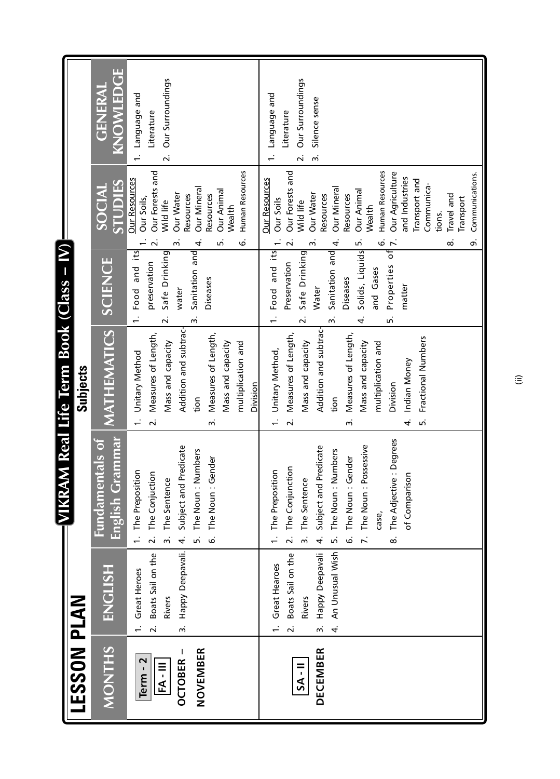|                                                                                  |                                                                                                                                                                                                                                                 | $-WIKR$                                                                                                                                                                                                                                                                                                                                                                                                                                                                                        | AM Real Life Term Book (Class - IV)                                                                                                                                                                                                                                                                                                                                                                                                                                                                                                |                                                                                                                                                                                                                                                                                                                                 |                                                                                                                                                                                                                                                                                                                                                                                                                                                                                                                                                                                                |                                                                                                                                                                                          |
|----------------------------------------------------------------------------------|-------------------------------------------------------------------------------------------------------------------------------------------------------------------------------------------------------------------------------------------------|------------------------------------------------------------------------------------------------------------------------------------------------------------------------------------------------------------------------------------------------------------------------------------------------------------------------------------------------------------------------------------------------------------------------------------------------------------------------------------------------|------------------------------------------------------------------------------------------------------------------------------------------------------------------------------------------------------------------------------------------------------------------------------------------------------------------------------------------------------------------------------------------------------------------------------------------------------------------------------------------------------------------------------------|---------------------------------------------------------------------------------------------------------------------------------------------------------------------------------------------------------------------------------------------------------------------------------------------------------------------------------|------------------------------------------------------------------------------------------------------------------------------------------------------------------------------------------------------------------------------------------------------------------------------------------------------------------------------------------------------------------------------------------------------------------------------------------------------------------------------------------------------------------------------------------------------------------------------------------------|------------------------------------------------------------------------------------------------------------------------------------------------------------------------------------------|
| LESSON PLAN                                                                      |                                                                                                                                                                                                                                                 |                                                                                                                                                                                                                                                                                                                                                                                                                                                                                                | Subjects                                                                                                                                                                                                                                                                                                                                                                                                                                                                                                                           |                                                                                                                                                                                                                                                                                                                                 |                                                                                                                                                                                                                                                                                                                                                                                                                                                                                                                                                                                                |                                                                                                                                                                                          |
| <b>MONTHS</b>                                                                    | <b>ENGLISH</b>                                                                                                                                                                                                                                  | English Grammar<br><b>Fundamentals of</b>                                                                                                                                                                                                                                                                                                                                                                                                                                                      | MATHEMATICS                                                                                                                                                                                                                                                                                                                                                                                                                                                                                                                        | <b>SCIENCE</b>                                                                                                                                                                                                                                                                                                                  | <b>STUDIES</b><br>SOCIAL                                                                                                                                                                                                                                                                                                                                                                                                                                                                                                                                                                       | u.<br>KNOWLEDGI<br><b>GENERAI</b>                                                                                                                                                        |
| NOVEMBER<br><b>DECEMBER</b><br>Term - 2<br><b>OCTOBER</b><br>FA-III<br>$SA - II$ | Happy Deepavali.<br>Boats Sail on the<br>An Unusual Wish<br>Boats Sail on the<br>Happy Deepavali<br>1. Great Hearoes<br>1. Great Heroes<br><b>Rivers</b><br>Rivers<br>$\ddot{ }$<br>$\ddot{ }$<br>$\overline{\mathbf{r}}$<br>$\ddot{\sim}$<br>4 | The Adjective: Degrees<br>: Possessive<br>Subject and Predicate<br>Subject and Predicate<br>The Noun: Numbers<br>The Noun: Numbers<br>: Gender<br>: Gender<br>The Conjunction<br>1. The Preposition<br>1. The Preposition<br>The Conjuction<br>rison<br>The Sentence<br>The Sentence<br>The Noun<br>The Noun<br>of Compar<br>The Noun<br>case,<br>$\overline{2}$ .<br>$\overline{r}$ .<br>$\ddot{ }$<br>4.<br>$\overline{a}$<br>.<br>ف<br>$\ddot{ }$<br>4.<br>$\dot{\infty}$<br>ь,<br>ؘٯ<br>n. | Addition and subtrac-<br>Addition and subtrac-<br>Measures of Length,<br>Measures of Length,<br>Measures of Length,<br>Measures of Length,<br>Fractional Numbers<br>Mass and capacity<br>Mass and capacity<br>Mass and capacity<br>Mass and capacity<br>multiplication and<br>multiplication and<br>Unitary Method,<br>Unitary Method<br>Indian Money<br>Division<br>Division<br>tion<br>tion<br>$\overline{a}$<br>$\frac{1}{2}$<br>.<br>G<br>$\overline{\mathbf{r}}$<br>$\overline{\mathcal{N}}$<br>4<br>$\ddot{ }$<br>$\ddot{ }$ | Food and its<br>Properties of<br>1. Food and its<br>Sanitation and<br>Sanitation and<br>Solids, Liquids<br>Safe Drinking<br>Safe Drinking<br>preservation<br>Preservation<br>and Gases<br>Diseases<br>Diseases<br>matter<br>Water<br>water<br>$\vec{m}$<br>Lo.<br>$\overline{\mathbf{v}}$<br>ന്<br>$\overline{\mathsf{N}}$<br>4 | Human Resources<br>Human Resources<br>Our Forests and<br>Our Forests and<br>Our Agriculture<br>Communications.<br>and Industries<br><b>Our Resources</b><br><b>Our Resources</b><br>Transport and<br>Communica-<br>Our Mineral<br>Our Mineral<br>Our Animal<br>Our Animal<br>Our Water<br><b>Our Water</b><br>Travel and<br>Resources<br>Resources<br>Resources<br>Resources<br>Our Soils,<br>Transport<br><b>Our Soils</b><br>Wild life<br>Wild life<br><b>Wealth</b><br>Wealth<br>tions.<br>ق<br>$\overline{\mathsf{N}}$<br>$\ddot{\sim}$<br>o,<br>ന്<br>ق<br>4<br>ம்<br>4.<br>ட்<br>ന്<br>∞ | Our Surroundings<br>Our Surroundings<br>1. Language and<br>Language and<br>Silence sense<br>Literature<br>Literature<br>$\overline{\mathbf{v}}$<br>$\ddot{ }$<br>$\overline{\mathbf{v}}$ |
|                                                                                  |                                                                                                                                                                                                                                                 |                                                                                                                                                                                                                                                                                                                                                                                                                                                                                                |                                                                                                                                                                                                                                                                                                                                                                                                                                                                                                                                    |                                                                                                                                                                                                                                                                                                                                 |                                                                                                                                                                                                                                                                                                                                                                                                                                                                                                                                                                                                |                                                                                                                                                                                          |

(ii)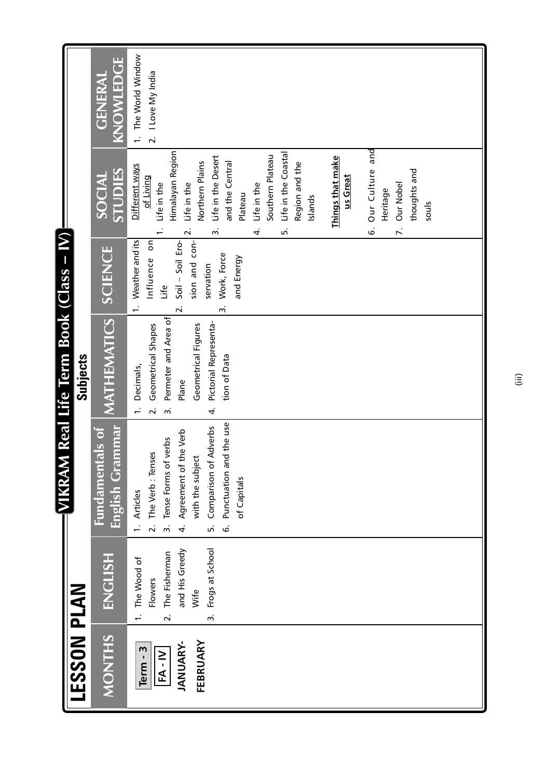| AM Real Life Term Book (Class - IV) | KNOWLEDGE<br><b>GENERAL</b><br><b>STUDIES</b><br>SOCIAL<br><b>SCIENCE</b> | 1. The World Window<br>2. I Love My India<br>Our Culture and<br>Himalayan Region<br>Life in the Coastal<br>Life in the Desert<br>Southern Plateau<br>Things that make<br>and the Central<br>Northern Plains<br>Region and the<br>Different ways<br>thoughts and<br>us Great<br>of Living<br>Life in the<br>Life in the<br>Life in the<br>Our Nobel<br>Heritage<br>Plateau<br>Islands<br>souls<br>.<br>5<br>$\overline{r}$<br>.<br>ف<br>$\overline{\mathbf{v}}$<br>$\ddot{ }$<br>4<br>sion and con-<br>1. Weather and its<br>Soil - Soil Ero-<br>Influence on<br>Work, Force<br>and Energy<br>servation<br>Life<br>$\ddot{ }$<br>$\overline{\mathbf{v}}$ |
|-------------------------------------|---------------------------------------------------------------------------|---------------------------------------------------------------------------------------------------------------------------------------------------------------------------------------------------------------------------------------------------------------------------------------------------------------------------------------------------------------------------------------------------------------------------------------------------------------------------------------------------------------------------------------------------------------------------------------------------------------------------------------------------------|
| Subjects                            | MATHEMATICS                                                               | Permeter and Area of<br>Pictorial Representa-<br>Geometrical Shapes<br>Geometrical Figures<br>tion of Data<br>Decimals,<br>Plane<br>$\overline{\mathbf{v}}$<br>4<br>$\dot{m}$                                                                                                                                                                                                                                                                                                                                                                                                                                                                           |
| <b>EVIKRA</b>                       | English Grammar<br><b>Fundamentals of</b>                                 | Punctuation and the use<br>Comparison of Adverbs<br>Agreement of the Verb<br>Tense Forms of verbs<br>The Verb: Tenses<br>with the subject<br>of Capitals<br>1. Articles<br>$\overline{a}$<br>$\ddot{ }$<br>4.<br>.<br>ف<br>$\vec{b}$                                                                                                                                                                                                                                                                                                                                                                                                                    |
|                                     | ENGLISH                                                                   | and His Greedy<br>Frogs at School<br>The Fisherman<br>1. The Wood of<br>Flowers<br>Wife<br>$\overline{\mathbf{v}}$<br>$\ddot{m}$                                                                                                                                                                                                                                                                                                                                                                                                                                                                                                                        |
| <b>LESSON PLAN</b>                  | <b>MONTHS</b>                                                             | FEBRUARY<br><b>JANUARY-</b><br>Term - 3<br>$FA - IV$                                                                                                                                                                                                                                                                                                                                                                                                                                                                                                                                                                                                    |

(iii)